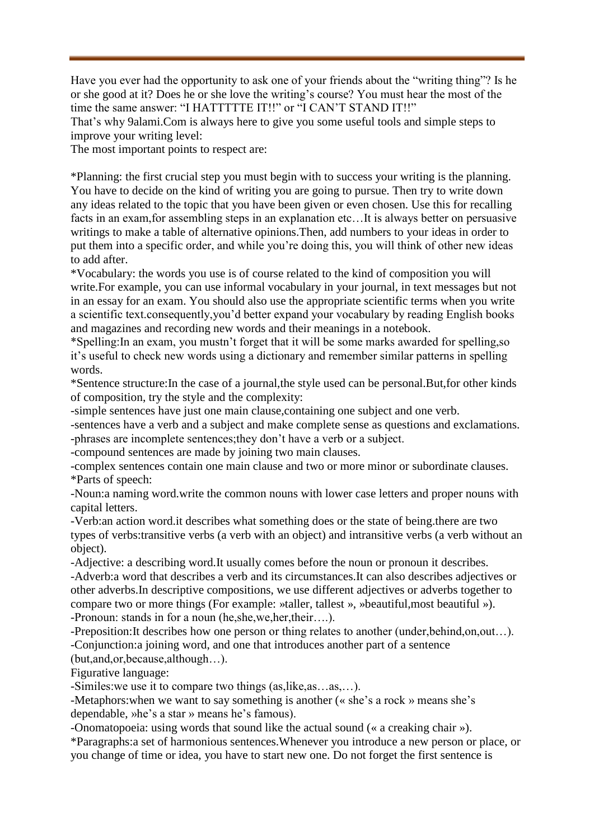Have you ever had the opportunity to ask one of your friends about the "writing thing"? Is he or she good at it? Does he or she love the writing's course? You must hear the most of the time the same answer: "I HATTTTTE IT!!" or "I CAN'T STAND IT!!"

That's why 9alami.Com is always here to give you some useful tools and simple steps to improve your writing level:

The most important points to respect are:

\*Planning: the first crucial step you must begin with to success your writing is the planning. You have to decide on the kind of writing you are going to pursue. Then try to write down any ideas related to the topic that you have been given or even chosen. Use this for recalling facts in an exam,for assembling steps in an explanation etc…It is always better on persuasive writings to make a table of alternative opinions.Then, add numbers to your ideas in order to put them into a specific order, and while you're doing this, you will think of other new ideas to add after.

\*Vocabulary: the words you use is of course related to the kind of composition you will write.For example, you can use informal vocabulary in your journal, in text messages but not in an essay for an exam. You should also use the appropriate scientific terms when you write a scientific text.consequently,you'd better expand your vocabulary by reading English books and magazines and recording new words and their meanings in a notebook.

\*Spelling:In an exam, you mustn't forget that it will be some marks awarded for spelling,so it's useful to check new words using a dictionary and remember similar patterns in spelling words.

\*Sentence structure:In the case of a journal,the style used can be personal.But,for other kinds of composition, try the style and the complexity:

-simple sentences have just one main clause,containing one subject and one verb.

-sentences have a verb and a subject and make complete sense as questions and exclamations. -phrases are incomplete sentences;they don't have a verb or a subject.

-compound sentences are made by joining two main clauses.

-complex sentences contain one main clause and two or more minor or subordinate clauses. \*Parts of speech:

-Noun:a naming word.write the common nouns with lower case letters and proper nouns with capital letters.

-Verb:an action word.it describes what something does or the state of being.there are two types of verbs:transitive verbs (a verb with an object) and intransitive verbs (a verb without an object).

-Adjective: a describing word.It usually comes before the noun or pronoun it describes. -Adverb:a word that describes a verb and its circumstances.It can also describes adjectives or other adverbs.In descriptive compositions, we use different adjectives or adverbs together to compare two or more things (For example: »taller, tallest », »beautiful,most beautiful »). -Pronoun: stands in for a noun (he,she,we,her,their….).

-Preposition:It describes how one person or thing relates to another (under,behind,on,out…). -Conjunction:a joining word, and one that introduces another part of a sentence

(but,and,or,because,although…).

Figurative language:

-Similes:we use it to compare two things (as,like,as…as,…).

-Metaphors:when we want to say something is another (« she's a rock » means she's dependable, »he's a star » means he's famous).

-Onomatopoeia: using words that sound like the actual sound (« a creaking chair »).

\*Paragraphs:a set of harmonious sentences.Whenever you introduce a new person or place, or you change of time or idea, you have to start new one. Do not forget the first sentence is